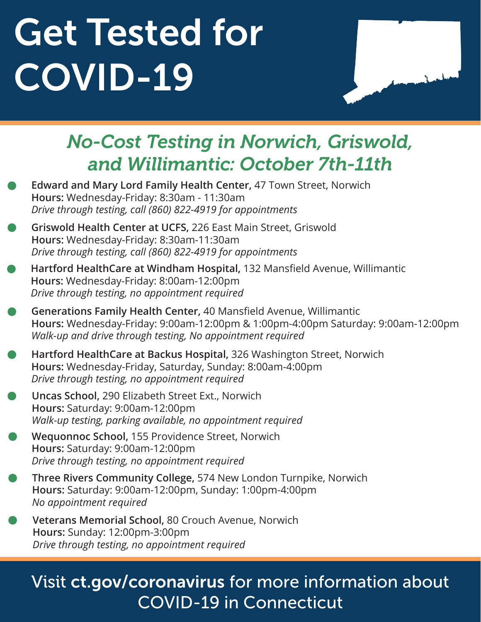# Get Tested for COVID-19



### *No-Cost Testing in Norwich, Griswold, and Willimantic: October 7th-11th*

- **Edward and Mary Lord Family Health Center,** 47 Town Street, Norwich **Hours:** Wednesday-Friday: 8:30am - 11:30am *Drive through testing, call (860) 822-4919 for appointments*
- **Griswold Health Center at UCFS,** 226 East Main Street, Griswold **Hours:** Wednesday-Friday: 8:30am-11:30am *Drive through testing, call (860) 822-4919 for appointments*
- **Hartford HealthCare at Windham Hospital,** 132 Mansfield Avenue, Willimantic **Hours:** Wednesday-Friday: 8:00am-12:00pm *Drive through testing, no appointment required*
- **Generations Family Health Center,** 40 Mansfield Avenue, Willimantic **Hours:** Wednesday-Friday: 9:00am-12:00pm & 1:00pm-4:00pm Saturday: 9:00am-12:00pm *Walk-up and drive through testing, No appointment required*
- **Hartford HealthCare at Backus Hospital,** 326 Washington Street, Norwich **Hours:** Wednesday-Friday, Saturday, Sunday: 8:00am-4:00pm *Drive through testing, no appointment required*
- **Uncas School,** 290 Elizabeth Street Ext., Norwich **Hours:** Saturday: 9:00am-12:00pm *Walk-up testing, parking available, no appointment required*
- **Wequonnoc School,** 155 Providence Street, Norwich **Hours:** Saturday: 9:00am-12:00pm *Drive through testing, no appointment required*
- **Three Rivers Community College,** 574 New London Turnpike, Norwich **Hours:** Saturday: 9:00am-12:00pm, Sunday: 1:00pm-4:00pm *No appointment required*
- **Veterans Memorial School,** 80 Crouch Avenue, Norwich **Hours:** Sunday: 12:00pm-3:00pm *Drive through testing, no appointment required*

### Visit ct.gov/coronavirus for more information about COVID-19 in Connecticut